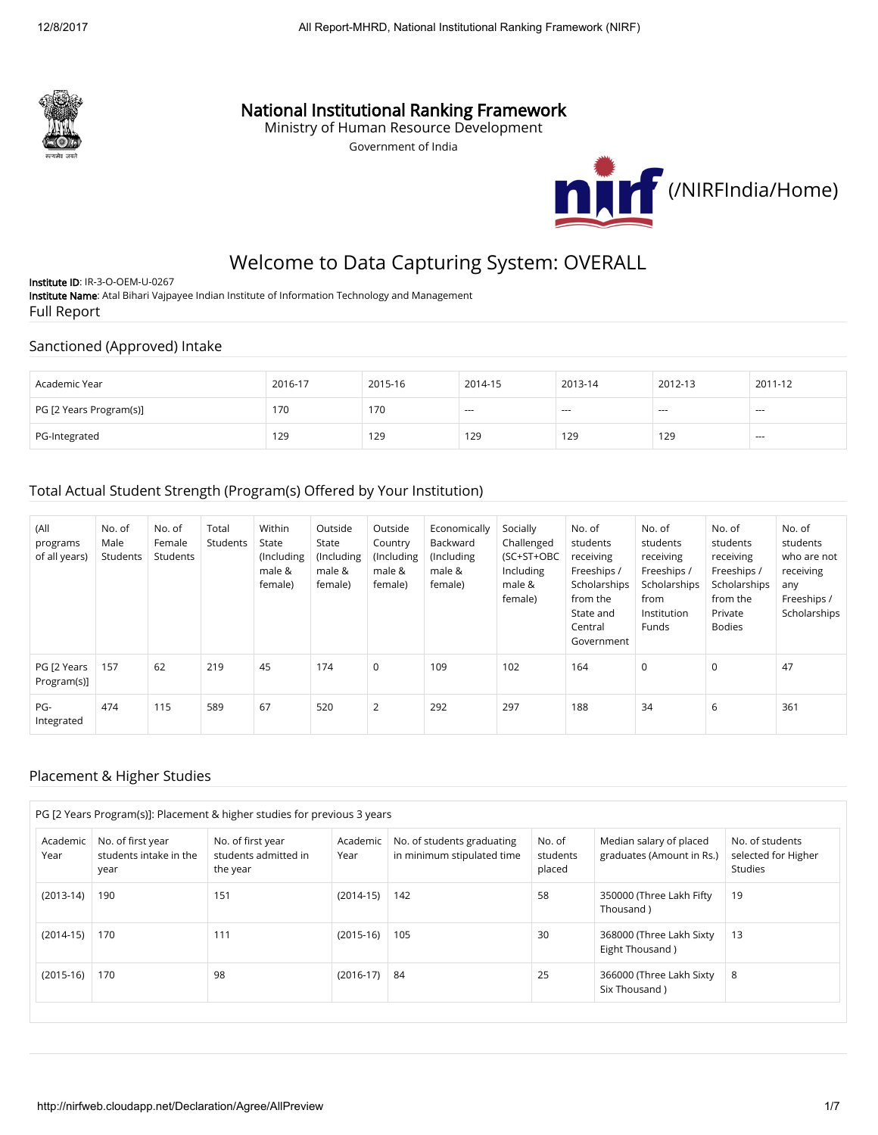

# National Institutional Ranking Framework

Ministry of Human Resource Development

Government of India



# Welcome to Data Capturing System: OVERALL

Institute ID: IR-3-O-OEM-U-0267 Institute Name: Atal Bihari Vajpayee Indian Institute of Information Technology and Management Full Report

#### Sanctioned (Approved) Intake

| Academic Year           | 2016-17 | 2015-16 | 2014-15  | 2013-14 | 2012-13 | 2011-12 |
|-------------------------|---------|---------|----------|---------|---------|---------|
| PG [2 Years Program(s)] | 170     | 170     | $\cdots$ | $- - -$ | $--$    | ---     |
| PG-Integrated           | 129     | 129     | 129      | 129     | 129     | $-$     |

### Total Actual Student Strength (Program(s) Offered by Your Institution)

| (All<br>programs<br>of all years) | No. of<br>Male<br>Students | No. of<br>Female<br>Students | Total<br>Students | Within<br>State<br>(Including<br>male &<br>female) | Outside<br>State<br>(Including<br>male &<br>female) | Outside<br>Country<br>(Including<br>male &<br>female) | Economically<br>Backward<br>(Including)<br>male &<br>female) | Socially<br>Challenged<br>(SC+ST+OBC<br>Including<br>male &<br>female) | No. of<br>students<br>receiving<br>Freeships /<br>Scholarships<br>from the<br>State and<br>Central<br>Government | No. of<br>students<br>receiving<br>Freeships /<br>Scholarships<br>from<br>Institution<br>Funds | No. of<br>students<br>receiving<br>Freeships /<br>Scholarships<br>from the<br>Private<br><b>Bodies</b> | No. of<br>students<br>who are not<br>receiving<br>any<br>Freeships /<br>Scholarships |
|-----------------------------------|----------------------------|------------------------------|-------------------|----------------------------------------------------|-----------------------------------------------------|-------------------------------------------------------|--------------------------------------------------------------|------------------------------------------------------------------------|------------------------------------------------------------------------------------------------------------------|------------------------------------------------------------------------------------------------|--------------------------------------------------------------------------------------------------------|--------------------------------------------------------------------------------------|
| PG [2 Years<br>Program(s)]        | 157                        | 62                           | 219               | 45                                                 | 174                                                 | $\mathbf 0$                                           | 109                                                          | 102                                                                    | 164                                                                                                              | $\mathbf 0$                                                                                    | $\mathbf 0$                                                                                            | 47                                                                                   |
| PG-<br>Integrated                 | 474                        | 115                          | 589               | 67                                                 | 520                                                 | $\overline{2}$                                        | 292                                                          | 297                                                                    | 188                                                                                                              | 34                                                                                             | 6                                                                                                      | 361                                                                                  |

#### Placement & Higher Studies

|                  |                                                     | PG [2 Years Program(s)]: Placement & higher studies for previous 3 years |                  |                                                          |                              |                                                      |                                                   |
|------------------|-----------------------------------------------------|--------------------------------------------------------------------------|------------------|----------------------------------------------------------|------------------------------|------------------------------------------------------|---------------------------------------------------|
| Academic<br>Year | No. of first year<br>students intake in the<br>year | No. of first year<br>students admitted in<br>the year                    | Academic<br>Year | No. of students graduating<br>in minimum stipulated time | No. of<br>students<br>placed | Median salary of placed<br>graduates (Amount in Rs.) | No. of students<br>selected for Higher<br>Studies |
| $(2013-14)$      | 190                                                 | 151                                                                      | $(2014-15)$      | 142                                                      | 58                           | 350000 (Three Lakh Fifty<br>Thousand)                | 19                                                |
| $(2014-15)$      | 170                                                 | 111                                                                      | $(2015-16)$      | 105                                                      | 30                           | 368000 (Three Lakh Sixty<br>Eight Thousand)          | 13                                                |
| $(2015-16)$      | 170                                                 | 98                                                                       | $(2016-17)$      | 84                                                       | 25                           | 366000 (Three Lakh Sixty<br>Six Thousand)            | 8                                                 |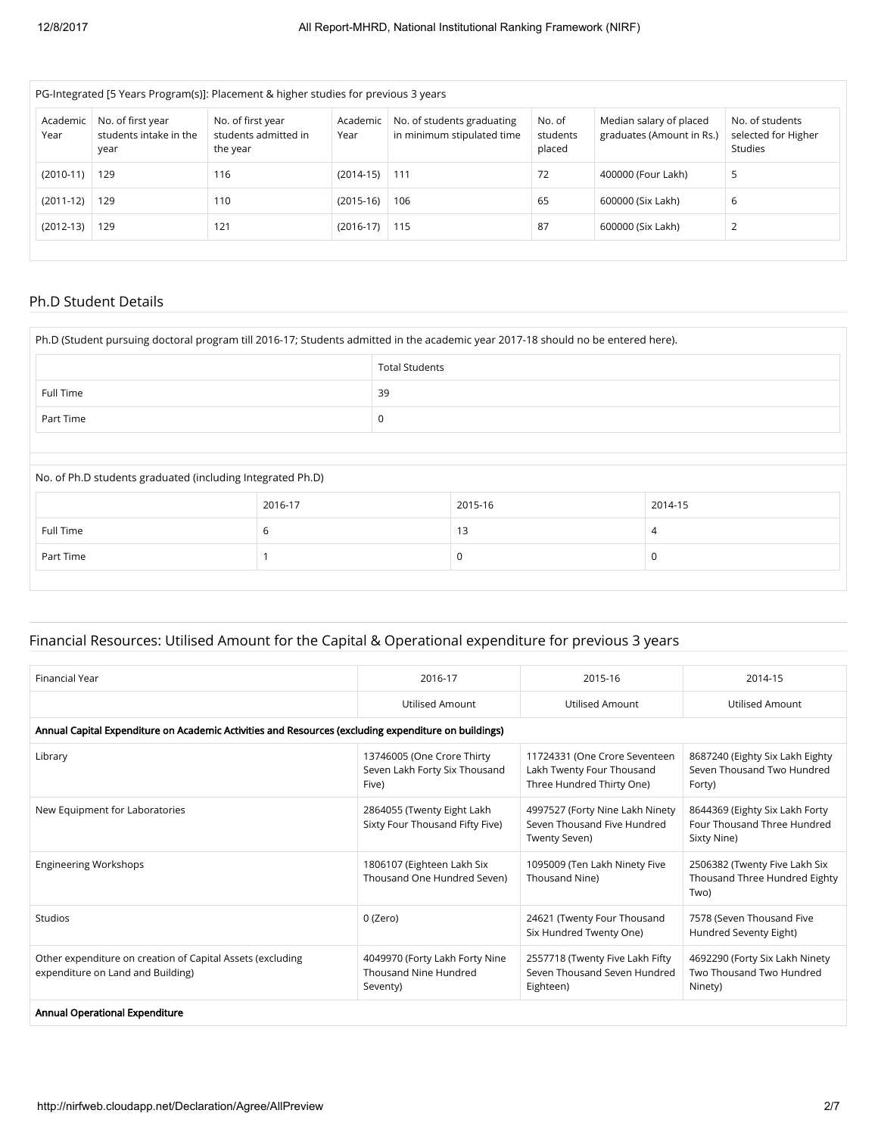| PG-Integrated [5 Years Program(s)]: Placement & higher studies for previous 3 years |                                                     |                                                       |                  |                                                          |                              |                                                      |                                                   |  |
|-------------------------------------------------------------------------------------|-----------------------------------------------------|-------------------------------------------------------|------------------|----------------------------------------------------------|------------------------------|------------------------------------------------------|---------------------------------------------------|--|
| Academic<br>Year                                                                    | No. of first year<br>students intake in the<br>year | No. of first year<br>students admitted in<br>the year | Academic<br>Year | No. of students graduating<br>in minimum stipulated time | No. of<br>students<br>placed | Median salary of placed<br>graduates (Amount in Rs.) | No. of students<br>selected for Higher<br>Studies |  |
| $(2010-11)$                                                                         | 129                                                 | 116                                                   | $(2014-15)$      | 111                                                      | 72                           | 400000 (Four Lakh)                                   | 5                                                 |  |
| $(2011-12)$                                                                         | 129                                                 | 110                                                   | $(2015-16)$      | 106                                                      | 65                           | 600000 (Six Lakh)                                    | 6                                                 |  |
| $(2012-13)$                                                                         | 129                                                 | 121                                                   | $(2016-17)$      | 115                                                      | 87                           | 600000 (Six Lakh)                                    | 2                                                 |  |

#### Ph.D Student Details

|                                                            |         | <b>Total Students</b> |         |         |  |  |  |
|------------------------------------------------------------|---------|-----------------------|---------|---------|--|--|--|
| Full Time                                                  |         | 39                    |         |         |  |  |  |
| Part Time                                                  |         |                       | 0       |         |  |  |  |
|                                                            |         |                       |         |         |  |  |  |
|                                                            |         |                       |         |         |  |  |  |
|                                                            |         |                       |         |         |  |  |  |
| No. of Ph.D students graduated (including Integrated Ph.D) |         |                       |         |         |  |  |  |
|                                                            | 2016-17 |                       | 2015-16 | 2014-15 |  |  |  |
| Full Time                                                  | 6       |                       | 13      | 4       |  |  |  |

# Financial Resources: Utilised Amount for the Capital & Operational expenditure for previous 3 years

| Financial Year                                                                                       | 2016-17                                                              | 2015-16                                                                                 | 2014-15                                                                      |  |  |  |  |  |
|------------------------------------------------------------------------------------------------------|----------------------------------------------------------------------|-----------------------------------------------------------------------------------------|------------------------------------------------------------------------------|--|--|--|--|--|
|                                                                                                      | <b>Utilised Amount</b>                                               | <b>Utilised Amount</b>                                                                  | Utilised Amount                                                              |  |  |  |  |  |
| Annual Capital Expenditure on Academic Activities and Resources (excluding expenditure on buildings) |                                                                      |                                                                                         |                                                                              |  |  |  |  |  |
| Library                                                                                              | 13746005 (One Crore Thirty<br>Seven Lakh Forty Six Thousand<br>Five) | 11724331 (One Crore Seventeen<br>Lakh Twenty Four Thousand<br>Three Hundred Thirty One) | 8687240 (Eighty Six Lakh Eighty<br>Seven Thousand Two Hundred<br>Forty)      |  |  |  |  |  |
| New Equipment for Laboratories                                                                       | 2864055 (Twenty Eight Lakh<br>Sixty Four Thousand Fifty Five)        | 4997527 (Forty Nine Lakh Ninety<br>Seven Thousand Five Hundred<br>Twenty Seven)         | 8644369 (Eighty Six Lakh Forty<br>Four Thousand Three Hundred<br>Sixty Nine) |  |  |  |  |  |
| <b>Engineering Workshops</b>                                                                         | 1806107 (Eighteen Lakh Six<br>Thousand One Hundred Seven)            | 1095009 (Ten Lakh Ninety Five<br>Thousand Nine)                                         | 2506382 (Twenty Five Lakh Six<br>Thousand Three Hundred Eighty<br>Two)       |  |  |  |  |  |
| <b>Studios</b>                                                                                       | 0 (Zero)                                                             | 24621 (Twenty Four Thousand<br>Six Hundred Twenty One)                                  | 7578 (Seven Thousand Five<br>Hundred Seventy Eight)                          |  |  |  |  |  |
| Other expenditure on creation of Capital Assets (excluding<br>expenditure on Land and Building)      | 4049970 (Forty Lakh Forty Nine<br>Thousand Nine Hundred<br>Seventy)  | 2557718 (Twenty Five Lakh Fifty<br>Seven Thousand Seven Hundred<br>Eighteen)            | 4692290 (Forty Six Lakh Ninety<br>Two Thousand Two Hundred<br>Ninety)        |  |  |  |  |  |
| Annual Operational Expenditure                                                                       |                                                                      |                                                                                         |                                                                              |  |  |  |  |  |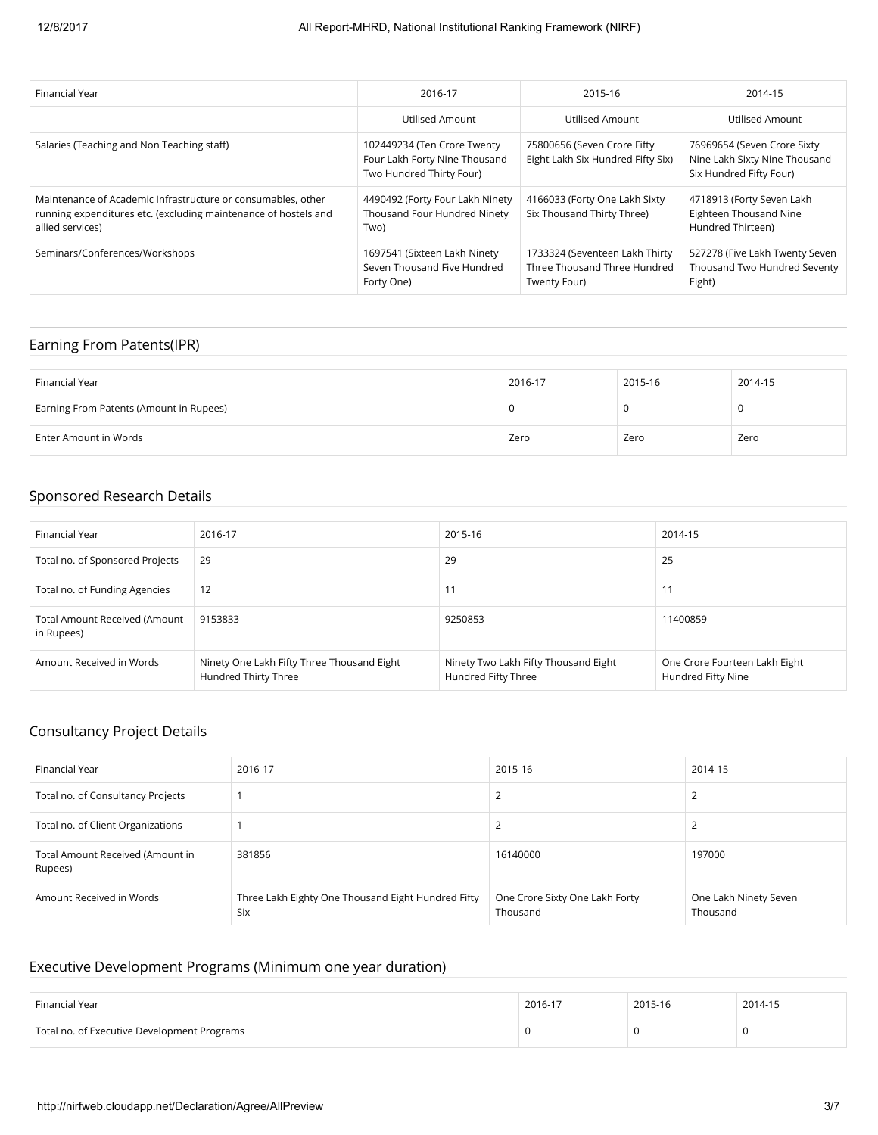| Financial Year                                                                                                                                      | 2016-17                                                                                  | 2015-16                                                                        | 2014-15                                                                                 |
|-----------------------------------------------------------------------------------------------------------------------------------------------------|------------------------------------------------------------------------------------------|--------------------------------------------------------------------------------|-----------------------------------------------------------------------------------------|
|                                                                                                                                                     | Utilised Amount                                                                          | Utilised Amount                                                                | Utilised Amount                                                                         |
| Salaries (Teaching and Non Teaching staff)                                                                                                          | 102449234 (Ten Crore Twenty<br>Four Lakh Forty Nine Thousand<br>Two Hundred Thirty Four) | 75800656 (Seven Crore Fifty<br>Eight Lakh Six Hundred Fifty Six)               | 76969654 (Seven Crore Sixty<br>Nine Lakh Sixty Nine Thousand<br>Six Hundred Fifty Four) |
| Maintenance of Academic Infrastructure or consumables, other<br>running expenditures etc. (excluding maintenance of hostels and<br>allied services) | 4490492 (Forty Four Lakh Ninety<br>Thousand Four Hundred Ninety<br>Two)                  | 4166033 (Forty One Lakh Sixty<br>Six Thousand Thirty Three)                    | 4718913 (Forty Seven Lakh<br><b>Eighteen Thousand Nine</b><br>Hundred Thirteen)         |
| Seminars/Conferences/Workshops                                                                                                                      | 1697541 (Sixteen Lakh Ninety<br>Seven Thousand Five Hundred<br>Forty One)                | 1733324 (Seventeen Lakh Thirty<br>Three Thousand Three Hundred<br>Twenty Four) | 527278 (Five Lakh Twenty Seven<br>Thousand Two Hundred Seventy<br>Eight)                |

## Earning From Patents(IPR)

| Financial Year                          | 2016-17 | 2015-16 | 2014-15 |
|-----------------------------------------|---------|---------|---------|
| Earning From Patents (Amount in Rupees) |         |         | υ       |
| Enter Amount in Words                   | Zero    | Zero    | Zero    |

## Sponsored Research Details

| Financial Year                              | 2016-17                                                            | 2015-16                                                     | 2014-15                                             |
|---------------------------------------------|--------------------------------------------------------------------|-------------------------------------------------------------|-----------------------------------------------------|
| Total no. of Sponsored Projects             | 29                                                                 | 29                                                          | 25                                                  |
| Total no. of Funding Agencies               | 12                                                                 | 11                                                          | 11                                                  |
| Total Amount Received (Amount<br>in Rupees) | 9153833                                                            | 9250853                                                     | 11400859                                            |
| Amount Received in Words                    | Ninety One Lakh Fifty Three Thousand Eight<br>Hundred Thirty Three | Ninety Two Lakh Fifty Thousand Eight<br>Hundred Fifty Three | One Crore Fourteen Lakh Eight<br>Hundred Fifty Nine |

## Consultancy Project Details

| Financial Year                              | 2016-17                                                   | 2015-16                                    | 2014-15                           |
|---------------------------------------------|-----------------------------------------------------------|--------------------------------------------|-----------------------------------|
| Total no. of Consultancy Projects           |                                                           | L                                          |                                   |
| Total no. of Client Organizations           |                                                           | ∸                                          |                                   |
| Total Amount Received (Amount in<br>Rupees) | 381856                                                    | 16140000                                   | 197000                            |
| Amount Received in Words                    | Three Lakh Eighty One Thousand Eight Hundred Fifty<br>Six | One Crore Sixty One Lakh Forty<br>Thousand | One Lakh Ninety Seven<br>Thousand |

# Executive Development Programs (Minimum one year duration)

| Financial Year                              | 2016-17 | 2015-16 | 2014-15 |
|---------------------------------------------|---------|---------|---------|
| Total no. of Executive Development Programs |         |         |         |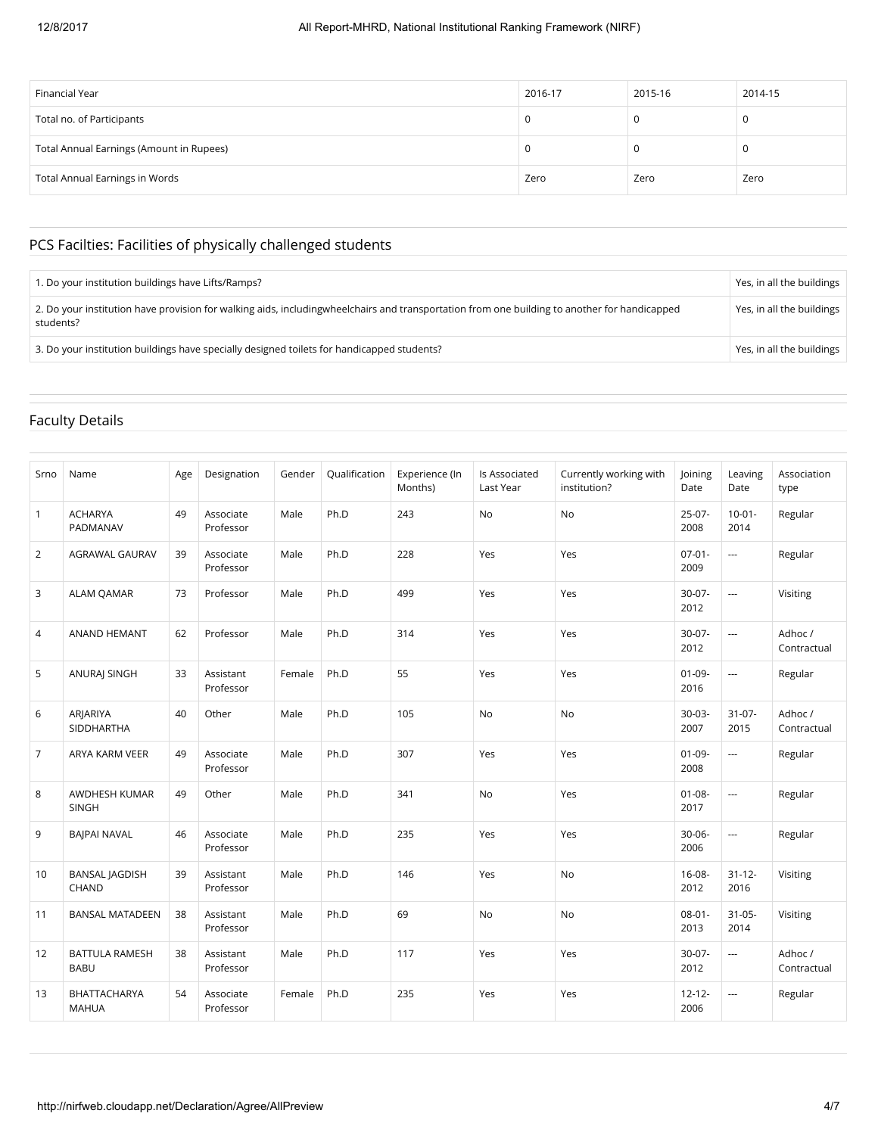| Financial Year                           | 2016-17 | 2015-16 | 2014-15 |
|------------------------------------------|---------|---------|---------|
| Total no. of Participants                | 0       |         | 0       |
| Total Annual Earnings (Amount in Rupees) | U       |         | 0       |
| Total Annual Earnings in Words           | Zero    | Zero    | Zero    |

# PCS Facilties: Facilities of physically challenged students

| 1. Do your institution buildings have Lifts/Ramps?                                                                                                          | Yes, in all the buildings |
|-------------------------------------------------------------------------------------------------------------------------------------------------------------|---------------------------|
| 2. Do your institution have provision for walking aids, including wheel chairs and transportation from one building to another for handicapped<br>students? | Yes, in all the buildings |
| 3. Do your institution buildings have specially designed toilets for handicapped students?                                                                  | Yes, in all the buildings |

# Faculty Details

| Srno           | Name                                 | Age | Designation            | Gender | Qualification | Experience (In<br>Months) | Is Associated<br>Last Year | Currently working with<br>institution? | <b>loining</b><br>Date | Leaving<br>Date     | Association<br>type   |
|----------------|--------------------------------------|-----|------------------------|--------|---------------|---------------------------|----------------------------|----------------------------------------|------------------------|---------------------|-----------------------|
| $\mathbf{1}$   | <b>ACHARYA</b><br>PADMANAV           | 49  | Associate<br>Professor | Male   | Ph.D          | 243                       | No                         | No                                     | $25-07-$<br>2008       | $10-01-$<br>2014    | Regular               |
| $\overline{2}$ | AGRAWAL GAURAV                       | 39  | Associate<br>Professor | Male   | Ph.D          | 228                       | Yes                        | Yes                                    | $07 - 01 -$<br>2009    | $\overline{a}$      | Regular               |
| 3              | <b>ALAM QAMAR</b>                    | 73  | Professor              | Male   | Ph.D          | 499                       | Yes                        | Yes                                    | $30-07-$<br>2012       | ---                 | Visiting              |
| 4              | ANAND HEMANT                         | 62  | Professor              | Male   | Ph.D          | 314                       | Yes                        | Yes                                    | $30-07-$<br>2012       | $\overline{a}$      | Adhoc/<br>Contractual |
| 5              | <b>ANURAJ SINGH</b>                  | 33  | Assistant<br>Professor | Female | Ph.D          | 55                        | Yes                        | Yes                                    | $01 - 09 -$<br>2016    | $\overline{a}$      | Regular               |
| 6              | ARJARIYA<br>SIDDHARTHA               | 40  | Other                  | Male   | Ph.D          | 105                       | <b>No</b>                  | No                                     | $30-03-$<br>2007       | $31 - 07 -$<br>2015 | Adhoc/<br>Contractual |
| 7              | ARYA KARM VEER                       | 49  | Associate<br>Professor | Male   | Ph.D          | 307                       | Yes                        | Yes                                    | $01 - 09 -$<br>2008    | ---                 | Regular               |
| 8              | AWDHESH KUMAR<br><b>SINGH</b>        | 49  | Other                  | Male   | Ph.D          | 341                       | <b>No</b>                  | Yes                                    | $01 - 08 -$<br>2017    | ---                 | Regular               |
| 9              | <b>BAIPAI NAVAL</b>                  | 46  | Associate<br>Professor | Male   | Ph.D          | 235                       | Yes                        | Yes                                    | $30 - 06 -$<br>2006    | ---                 | Regular               |
| 10             | <b>BANSAL JAGDISH</b><br>CHAND       | 39  | Assistant<br>Professor | Male   | Ph.D          | 146                       | Yes                        | No                                     | $16 - 08 -$<br>2012    | $31 - 12 -$<br>2016 | Visiting              |
| 11             | <b>BANSAL MATADEEN</b>               | 38  | Assistant<br>Professor | Male   | Ph.D          | 69                        | No                         | No                                     | $08 - 01 -$<br>2013    | $31 - 05 -$<br>2014 | Visiting              |
| 12             | <b>BATTULA RAMESH</b><br><b>BABU</b> | 38  | Assistant<br>Professor | Male   | Ph.D          | 117                       | Yes                        | Yes                                    | $30-07-$<br>2012       | ---                 | Adhoc/<br>Contractual |
| 13             | BHATTACHARYA<br><b>MAHUA</b>         | 54  | Associate<br>Professor | Female | Ph.D          | 235                       | Yes                        | Yes                                    | $12 - 12 -$<br>2006    | ---                 | Regular               |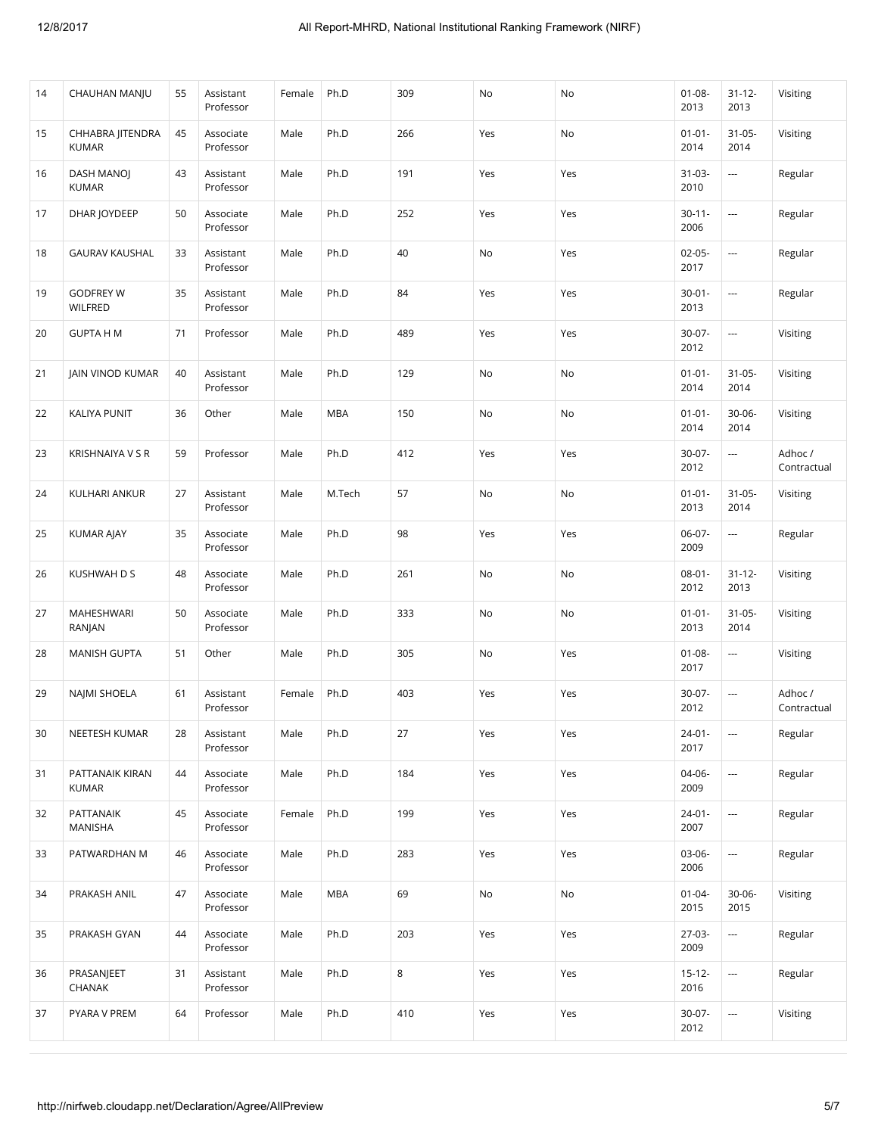| 14 | CHAUHAN MANJU                    | 55 | Assistant<br>Professor | Female | Ph.D       | 309 | No  | No  | $01 - 08 -$<br>2013 | $31 - 12 -$<br>2013      | Visiting               |
|----|----------------------------------|----|------------------------|--------|------------|-----|-----|-----|---------------------|--------------------------|------------------------|
| 15 | CHHABRA JITENDRA<br><b>KUMAR</b> | 45 | Associate<br>Professor | Male   | Ph.D       | 266 | Yes | No  | $01 - 01 -$<br>2014 | $31 - 05 -$<br>2014      | Visiting               |
| 16 | DASH MANOJ<br><b>KUMAR</b>       | 43 | Assistant<br>Professor | Male   | Ph.D       | 191 | Yes | Yes | $31 - 03 -$<br>2010 | $\overline{\phantom{a}}$ | Regular                |
| 17 | DHAR JOYDEEP                     | 50 | Associate<br>Professor | Male   | Ph.D       | 252 | Yes | Yes | $30 - 11 -$<br>2006 | $\overline{\phantom{a}}$ | Regular                |
| 18 | <b>GAURAV KAUSHAL</b>            | 33 | Assistant<br>Professor | Male   | Ph.D       | 40  | No  | Yes | $02 - 05 -$<br>2017 | $\cdots$                 | Regular                |
| 19 | <b>GODFREY W</b><br>WILFRED      | 35 | Assistant<br>Professor | Male   | Ph.D       | 84  | Yes | Yes | $30 - 01 -$<br>2013 | $\overline{a}$           | Regular                |
| 20 | <b>GUPTA H M</b>                 | 71 | Professor              | Male   | Ph.D       | 489 | Yes | Yes | $30-07 -$<br>2012   | $\ldots$                 | Visiting               |
| 21 | <b>JAIN VINOD KUMAR</b>          | 40 | Assistant<br>Professor | Male   | Ph.D       | 129 | No  | No  | $01 - 01 -$<br>2014 | $31 - 05 -$<br>2014      | Visiting               |
| 22 | <b>KALIYA PUNIT</b>              | 36 | Other                  | Male   | <b>MBA</b> | 150 | No  | No  | $01 - 01 -$<br>2014 | $30 - 06 -$<br>2014      | Visiting               |
| 23 | <b>KRISHNAIYA V S R</b>          | 59 | Professor              | Male   | Ph.D       | 412 | Yes | Yes | $30-07 -$<br>2012   | $\overline{\phantom{a}}$ | Adhoc /<br>Contractual |
| 24 | <b>KULHARI ANKUR</b>             | 27 | Assistant<br>Professor | Male   | M.Tech     | 57  | No  | No  | $01 - 01 -$<br>2013 | $31 - 05 -$<br>2014      | Visiting               |
| 25 | <b>KUMAR AJAY</b>                | 35 | Associate<br>Professor | Male   | Ph.D       | 98  | Yes | Yes | $06-07-$<br>2009    | $\ldots$                 | Regular                |
| 26 | KUSHWAH D S                      | 48 | Associate<br>Professor | Male   | Ph.D       | 261 | No  | No  | $08 - 01 -$<br>2012 | $31 - 12 -$<br>2013      | Visiting               |
| 27 | MAHESHWARI<br>RANJAN             | 50 | Associate<br>Professor | Male   | Ph.D       | 333 | No  | No  | $01 - 01 -$<br>2013 | $31 - 05 -$<br>2014      | Visiting               |
| 28 | <b>MANISH GUPTA</b>              | 51 | Other                  | Male   | Ph.D       | 305 | No  | Yes | $01 - 08 -$<br>2017 | $\overline{\phantom{a}}$ | Visiting               |
| 29 | NAJMI SHOELA                     | 61 | Assistant<br>Professor | Female | Ph.D       | 403 | Yes | Yes | 30-07-<br>2012      | $\cdots$                 | Adhoc/<br>Contractual  |
| 30 | NEETESH KUMAR                    | 28 | Assistant<br>Professor | Male   | Ph.D       | 27  | Yes | Yes | $24 - 01 -$<br>2017 | $\overline{a}$           | Regular                |
| 31 | PATTANAIK KIRAN<br><b>KUMAR</b>  | 44 | Associate<br>Professor | Male   | Ph.D       | 184 | Yes | Yes | 04-06-<br>2009      | $\overline{a}$           | Regular                |
| 32 | PATTANAIK<br>MANISHA             | 45 | Associate<br>Professor | Female | Ph.D       | 199 | Yes | Yes | $24 - 01 -$<br>2007 | $\overline{a}$           | Regular                |
| 33 | PATWARDHAN M                     | 46 | Associate<br>Professor | Male   | Ph.D       | 283 | Yes | Yes | 03-06-<br>2006      | $\overline{\phantom{a}}$ | Regular                |
| 34 | PRAKASH ANIL                     | 47 | Associate<br>Professor | Male   | <b>MBA</b> | 69  | No  | No  | $01 - 04 -$<br>2015 | $30 - 06 -$<br>2015      | Visiting               |
| 35 | PRAKASH GYAN                     | 44 | Associate<br>Professor | Male   | Ph.D       | 203 | Yes | Yes | 27-03-<br>2009      | ---                      | Regular                |
| 36 | PRASANJEET<br>CHANAK             | 31 | Assistant<br>Professor | Male   | Ph.D       | 8   | Yes | Yes | $15 - 12 -$<br>2016 | $\overline{a}$           | Regular                |
| 37 | PYARA V PREM                     | 64 | Professor              | Male   | Ph.D       | 410 | Yes | Yes | $30-07 -$<br>2012   | $\ldots$                 | Visiting               |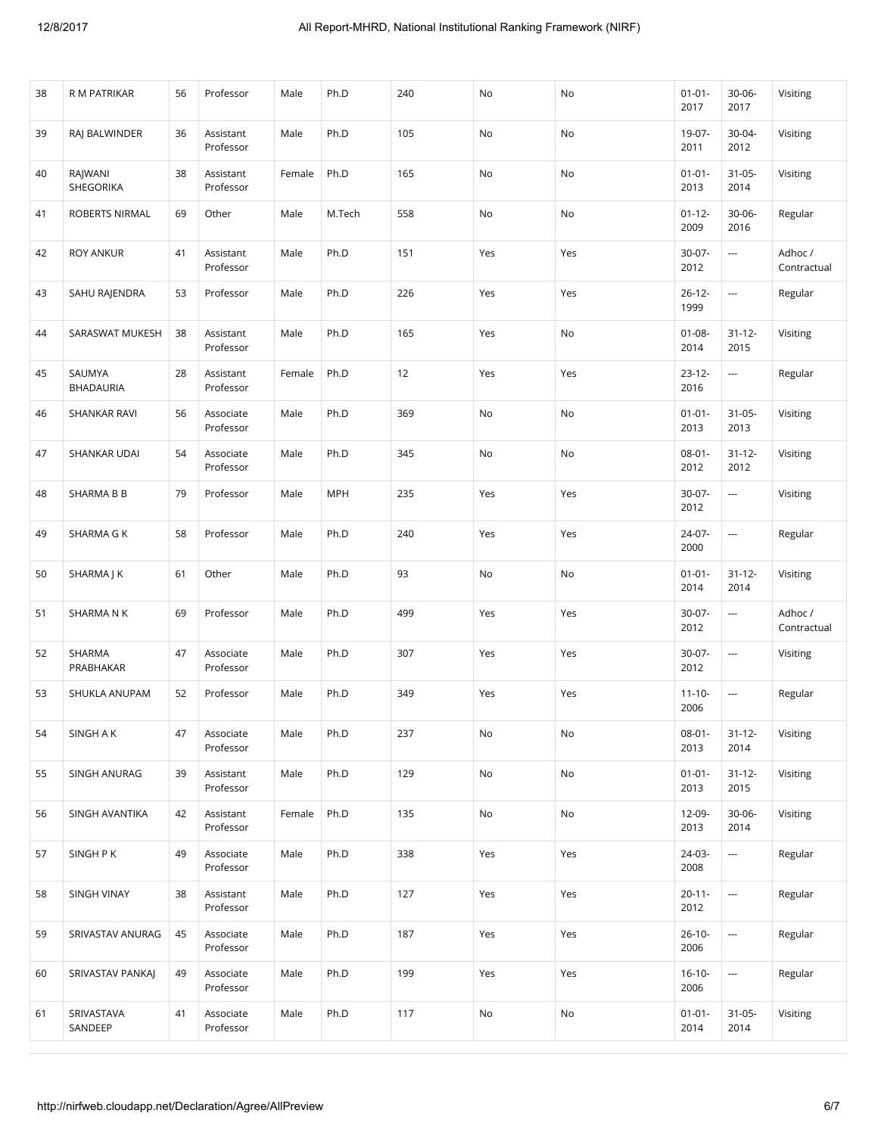| 38 | R M PATRIKAR               | 56 | Professor              | Male   | Ph.D       | 240 | No  | No  | $01 - 01 -$<br>2017 | 30-06-<br>2017           | Visiting               |
|----|----------------------------|----|------------------------|--------|------------|-----|-----|-----|---------------------|--------------------------|------------------------|
| 39 | RAJ BALWINDER              | 36 | Assistant<br>Professor | Male   | Ph.D       | 105 | No  | No  | 19-07-<br>2011      | 30-04-<br>2012           | Visiting               |
| 40 | RAJWANI<br>SHEGORIKA       | 38 | Assistant<br>Professor | Female | Ph.D       | 165 | No  | No  | $01 - 01 -$<br>2013 | $31 - 05 -$<br>2014      | Visiting               |
| 41 | ROBERTS NIRMAL             | 69 | Other                  | Male   | M.Tech     | 558 | No  | No  | $01 - 12 -$<br>2009 | $30 - 06 -$<br>2016      | Regular                |
| 42 | <b>ROY ANKUR</b>           | 41 | Assistant<br>Professor | Male   | Ph.D       | 151 | Yes | Yes | $30-07 -$<br>2012   |                          | Adhoc /<br>Contractual |
| 43 | SAHU RAJENDRA              | 53 | Professor              | Male   | Ph.D       | 226 | Yes | Yes | $26 - 12 -$<br>1999 | $\ldots$                 | Regular                |
| 44 | SARASWAT MUKESH            | 38 | Assistant<br>Professor | Male   | Ph.D       | 165 | Yes | No  | $01 - 08 -$<br>2014 | $31 - 12 -$<br>2015      | Visiting               |
| 45 | SAUMYA<br><b>BHADAURIA</b> | 28 | Assistant<br>Professor | Female | Ph.D       | 12  | Yes | Yes | $23 - 12 -$<br>2016 | $\overline{\phantom{a}}$ | Regular                |
| 46 | SHANKAR RAVI               | 56 | Associate<br>Professor | Male   | Ph.D       | 369 | No  | No  | $01 - 01 -$<br>2013 | $31 - 05 -$<br>2013      | Visiting               |
| 47 | SHANKAR UDAI               | 54 | Associate<br>Professor | Male   | Ph.D       | 345 | No  | No  | $08 - 01 -$<br>2012 | $31 - 12 -$<br>2012      | Visiting               |
| 48 | SHARMA B B                 | 79 | Professor              | Male   | <b>MPH</b> | 235 | Yes | Yes | $30-07-$<br>2012    | $\overline{\phantom{a}}$ | Visiting               |
| 49 | SHARMA G K                 | 58 | Professor              | Male   | Ph.D       | 240 | Yes | Yes | 24-07-<br>2000      | $\ldots$                 | Regular                |
| 50 | SHARMA J K                 | 61 | Other                  | Male   | Ph.D       | 93  | No  | No  | $01 - 01 -$<br>2014 | $31 - 12 -$<br>2014      | Visiting               |
| 51 | SHARMA N K                 | 69 | Professor              | Male   | Ph.D       | 499 | Yes | Yes | $30-07-$<br>2012    |                          | Adhoc /<br>Contractual |
| 52 | SHARMA<br>PRABHAKAR        | 47 | Associate<br>Professor | Male   | Ph.D       | 307 | Yes | Yes | $30-07 -$<br>2012   | $\cdots$                 | Visiting               |
| 53 | SHUKLA ANUPAM              | 52 | Professor              | Male   | Ph.D       | 349 | Yes | Yes | $11 - 10 -$<br>2006 | ---                      | Regular                |
| 54 | SINGH A K                  | 47 | Associate<br>Professor | Male   | Ph.D       | 237 | No  | No  | $08 - 01 -$<br>2013 | $31 - 12 -$<br>2014      | Visiting               |
| 55 | SINGH ANURAG               | 39 | Assistant<br>Professor | Male   | Ph.D       | 129 | No  | No  | $01 - 01 -$<br>2013 | $31 - 12 -$<br>2015      | Visiting               |
| 56 | SINGH AVANTIKA             | 42 | Assistant<br>Professor | Female | Ph.D       | 135 | No  | No  | 12-09-<br>2013      | $30 - 06 -$<br>2014      | Visiting               |
| 57 | SINGH P K                  | 49 | Associate<br>Professor | Male   | Ph.D       | 338 | Yes | Yes | 24-03-<br>2008      | $\ldots$                 | Regular                |
| 58 | SINGH VINAY                | 38 | Assistant<br>Professor | Male   | Ph.D       | 127 | Yes | Yes | $20 - 11 -$<br>2012 | ---                      | Regular                |
| 59 | SRIVASTAV ANURAG           | 45 | Associate<br>Professor | Male   | Ph.D       | 187 | Yes | Yes | $26 - 10 -$<br>2006 | ---                      | Regular                |
| 60 | SRIVASTAV PANKAJ           | 49 | Associate<br>Professor | Male   | Ph.D       | 199 | Yes | Yes | $16 - 10 -$<br>2006 | $\overline{\phantom{a}}$ | Regular                |
| 61 | SRIVASTAVA<br>SANDEEP      | 41 | Associate<br>Professor | Male   | Ph.D       | 117 | No  | No  | $01 - 01 -$<br>2014 | $31 - 05 -$<br>2014      | Visiting               |